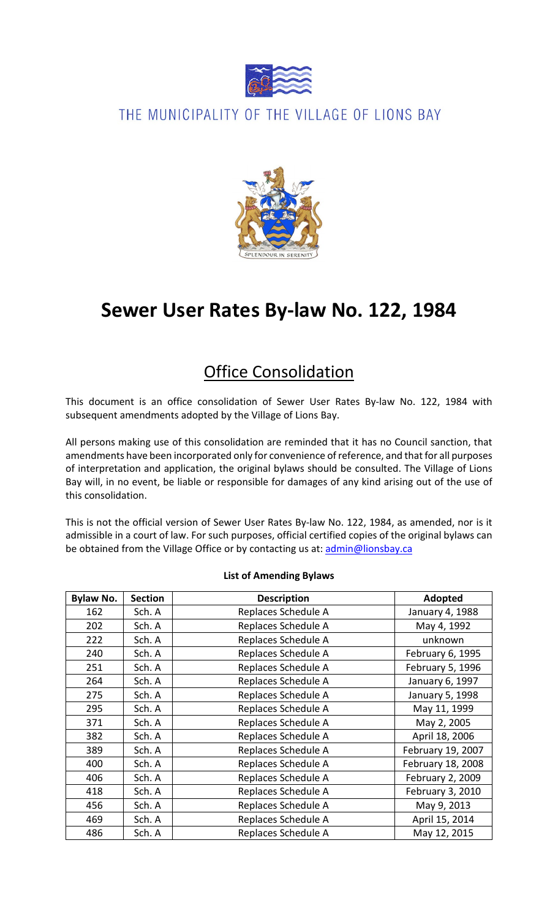

### THE MUNICIPALITY OF THE VILLAGE OF LIONS BAY



# **Sewer User Rates By-law No. 122, 1984**

## Office Consolidation

This document is an office consolidation of Sewer User Rates By-law No. 122, 1984 with subsequent amendments adopted by the Village of Lions Bay.

All persons making use of this consolidation are reminded that it has no Council sanction, that amendments have been incorporated only for convenience of reference, and that for all purposes of interpretation and application, the original bylaws should be consulted. The Village of Lions Bay will, in no event, be liable or responsible for damages of any kind arising out of the use of this consolidation.

This is not the official version of Sewer User Rates By-law No. 122, 1984, as amended, nor is it admissible in a court of law. For such purposes, official certified copies of the original bylaws can be obtained from the Village Office or by contacting us at: [admin@lionsbay.ca](mailto:admin@lionsbay.ca)

| <b>Bylaw No.</b> | <b>Section</b> | <b>Description</b>  | <b>Adopted</b>    |
|------------------|----------------|---------------------|-------------------|
| 162              | Sch. A         | Replaces Schedule A | January 4, 1988   |
| 202              | Sch. A         | Replaces Schedule A | May 4, 1992       |
| 222              | Sch. A         | Replaces Schedule A | unknown           |
| 240              | Sch. A         | Replaces Schedule A | February 6, 1995  |
| 251              | Sch. A         | Replaces Schedule A | February 5, 1996  |
| 264              | Sch. A         | Replaces Schedule A | January 6, 1997   |
| 275              | Sch. A         | Replaces Schedule A | January 5, 1998   |
| 295              | Sch. A         | Replaces Schedule A | May 11, 1999      |
| 371              | Sch. A         | Replaces Schedule A | May 2, 2005       |
| 382              | Sch. A         | Replaces Schedule A | April 18, 2006    |
| 389              | Sch. A         | Replaces Schedule A | February 19, 2007 |
| 400              | Sch. A         | Replaces Schedule A | February 18, 2008 |
| 406              | Sch. A         | Replaces Schedule A | February 2, 2009  |
| 418              | Sch. A         | Replaces Schedule A | February 3, 2010  |
| 456              | Sch. A         | Replaces Schedule A | May 9, 2013       |
| 469              | Sch. A         | Replaces Schedule A | April 15, 2014    |
| 486              | Sch. A         | Replaces Schedule A | May 12, 2015      |

#### **List of Amending Bylaws**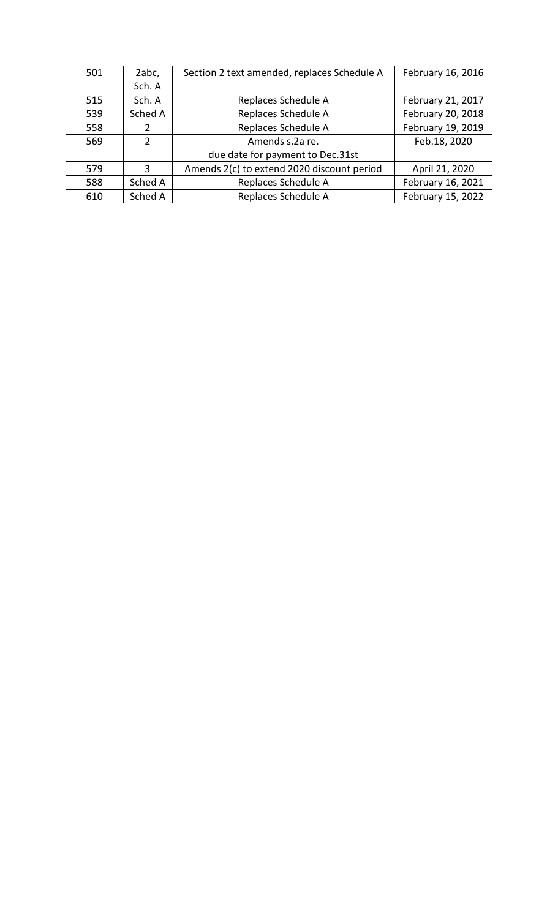| 501 | 2abc,         | Section 2 text amended, replaces Schedule A | February 16, 2016 |
|-----|---------------|---------------------------------------------|-------------------|
|     | Sch. A        |                                             |                   |
| 515 | Sch. A        | Replaces Schedule A                         | February 21, 2017 |
| 539 | Sched A       | Replaces Schedule A                         | February 20, 2018 |
| 558 | 2             | Replaces Schedule A                         | February 19, 2019 |
| 569 | $\mathcal{P}$ | Amends s.2a re.                             | Feb.18, 2020      |
|     |               | due date for payment to Dec.31st            |                   |
| 579 | 3             | Amends 2(c) to extend 2020 discount period  | April 21, 2020    |
| 588 | Sched A       | Replaces Schedule A                         | February 16, 2021 |
| 610 | Sched A       | Replaces Schedule A                         | February 15, 2022 |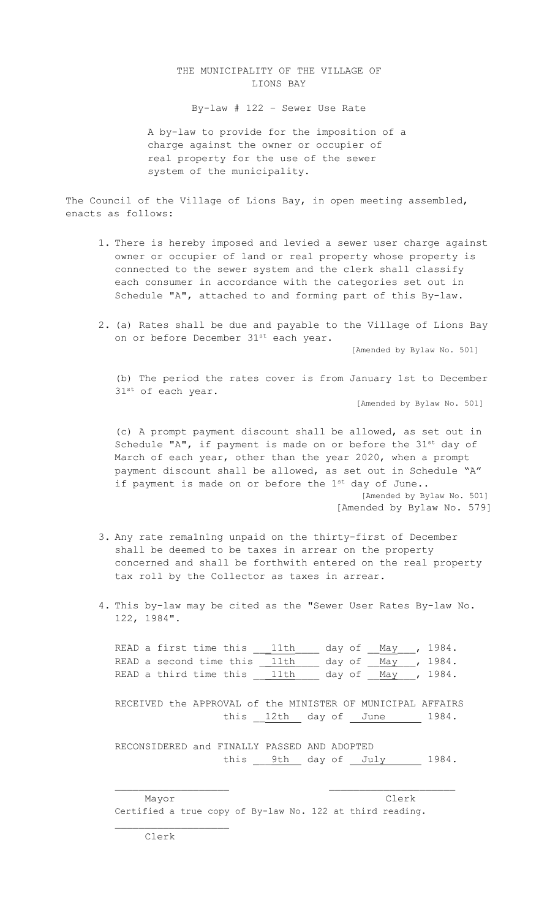#### THE MUNICIPALITY OF THE VILLAGE OF LIONS BAY

By-law # 122 – Sewer Use Rate

A by-law to provide for the imposition of a charge against the owner or occupier of real property for the use of the sewer system of the municipality.

The Council of the Village of Lions Bay, in open meeting assembled, enacts as follows:

- 1. There is hereby imposed and levied a sewer user charge against owner or occupier of land or real property whose property is connected to the sewer system and the clerk shall classify each consumer in accordance with the categories set out in Schedule "A", attached to and forming part of this By-law.
- 2. (a) Rates shall be due and payable to the Village of Lions Bay on or before December 31st each year.

[Amended by Bylaw No. 501]

(b) The period the rates cover is from January 1st to December 31st of each year.

[Amended by Bylaw No. 501]

(c) A prompt payment discount shall be allowed, as set out in Schedule "A", if payment is made on or before the 31<sup>st</sup> day of March of each year, other than the year 2020, when a prompt payment discount shall be allowed, as set out in Schedule "A" if payment is made on or before the 1<sup>st</sup> day of June.. [Amended by Bylaw No. 501] [Amended by Bylaw No. 579]

3. Any rate rema1n1ng unpaid on the thirty-first of December shall be deemed to be taxes in arrear on the property concerned and shall be forthwith entered on the real property tax roll by the Collector as taxes in arrear.

4. This by-law may be cited as the "Sewer User Rates By-law No. 122, 1984".

READ a first time this <u>\_\_\_11th \_\_</u>\_ day of \_\_<u>May</u> \_\_, 1984. READ a second time this <u>\_\_11th \_\_\_</u> day of \_\_<u>May</u> \_\_, 1984. READ a third time this 11th day of May , 1984.

RECEIVED the APPROVAL of the MINISTER OF MUNICIPAL AFFAIRS this 12th day of June 1984.

RECONSIDERED and FINALLY PASSED AND ADOPTED this <u>9th</u> day of July 1984.

\_\_\_\_\_\_\_\_\_\_\_\_\_\_\_\_\_\_\_ \_\_\_\_\_\_\_\_\_\_\_\_\_\_\_\_\_\_\_\_\_

 Mayor Clerk Certified a true copy of By-law No. 122 at third reading.

\_\_\_\_\_\_\_\_\_\_\_\_\_\_\_\_\_\_\_